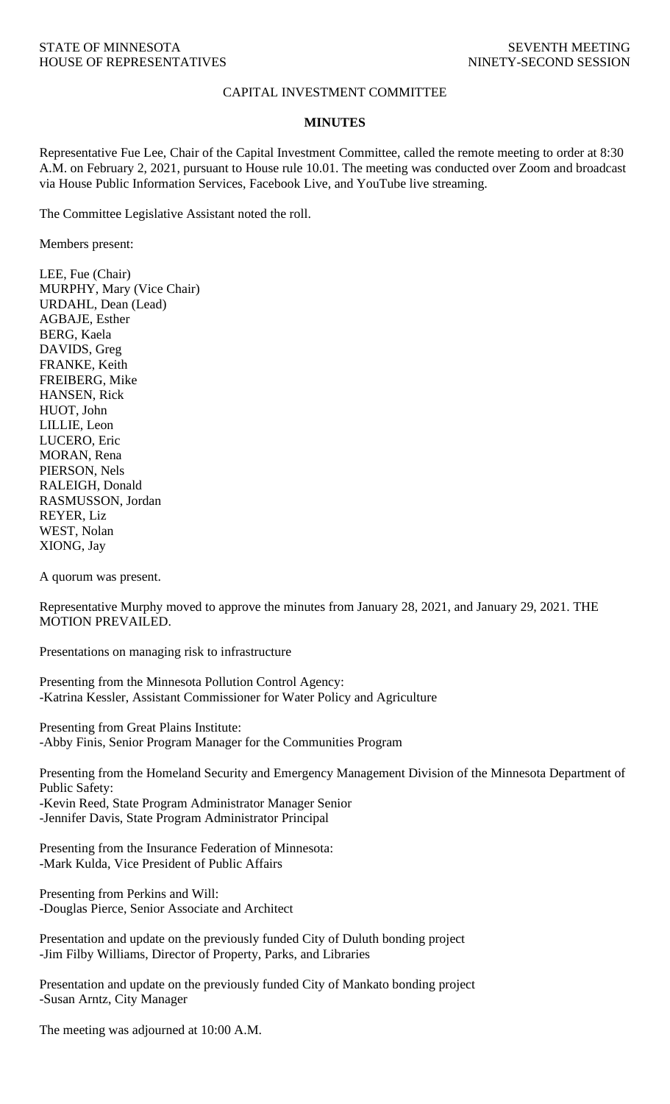## CAPITAL INVESTMENT COMMITTEE

## **MINUTES**

Representative Fue Lee, Chair of the Capital Investment Committee, called the remote meeting to order at 8:30 A.M. on February 2, 2021, pursuant to House rule 10.01. The meeting was conducted over Zoom and broadcast via House Public Information Services, Facebook Live, and YouTube live streaming.

The Committee Legislative Assistant noted the roll.

Members present:

LEE, Fue (Chair) MURPHY, Mary (Vice Chair) URDAHL, Dean (Lead) AGBAJE, Esther BERG, Kaela DAVIDS, Greg FRANKE, Keith FREIBERG, Mike HANSEN, Rick HUOT, John LILLIE, Leon LUCERO, Eric MORAN, Rena PIERSON, Nels RALEIGH, Donald RASMUSSON, Jordan REYER, Liz WEST, Nolan XIONG, Jay

A quorum was present.

Representative Murphy moved to approve the minutes from January 28, 2021, and January 29, 2021. THE MOTION PREVAILED.

Presentations on managing risk to infrastructure

Presenting from the Minnesota Pollution Control Agency: -Katrina Kessler, Assistant Commissioner for Water Policy and Agriculture

Presenting from Great Plains Institute: -Abby Finis, Senior Program Manager for the Communities Program

Presenting from the Homeland Security and Emergency Management Division of the Minnesota Department of Public Safety: -Kevin Reed, State Program Administrator Manager Senior

-Jennifer Davis, State Program Administrator Principal

Presenting from the Insurance Federation of Minnesota: -Mark Kulda, Vice President of Public Affairs

Presenting from Perkins and Will: -Douglas Pierce, Senior Associate and Architect

Presentation and update on the previously funded City of Duluth bonding project -Jim Filby Williams, Director of Property, Parks, and Libraries

Presentation and update on the previously funded City of Mankato bonding project -Susan Arntz, City Manager

The meeting was adjourned at 10:00 A.M.